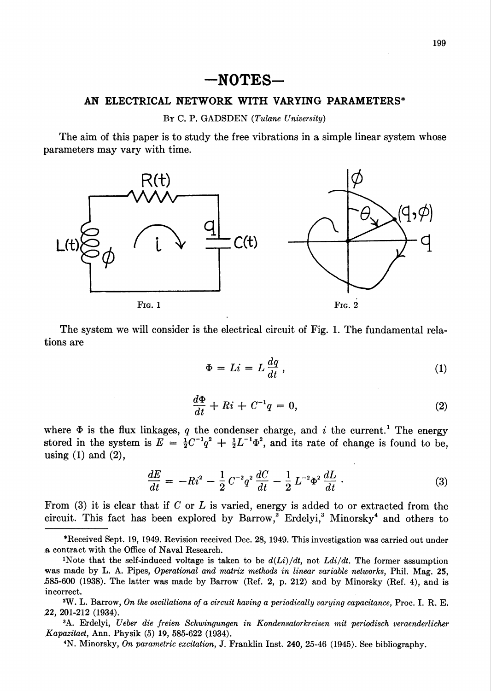## $\mathsf{\textbf{-}NOTES}\mathsf{\textbf{-}}$

## AN ELECTRICAL NETWORK WITH VARYING PARAMETERS\*

## By C. P. GADSDEN (Tulane University)

The aim of this paper is to study the free vibrations in a simple linear system whose parameters may vary with time.



The system we will consider is the electrical circuit of Fig. 1. The fundamental relations are

$$
\Phi = Li = L \frac{dq}{dt},\qquad(1)
$$

$$
\frac{d\Phi}{dt} + Ri + C^{-1}q = 0,\t\t(2)
$$

where  $\Phi$  is the flux linkages, q the condenser charge, and i the current.<sup>1</sup> The energy stored in the system is  $E = \frac{1}{2}C^{-1}q^2 + \frac{1}{2}L^{-1}\Phi^2$ , and its rate of change is found to be, using (1) and (2),

$$
\frac{dE}{dt} = -Ri^2 - \frac{1}{2}C^{-2}q^2\frac{dC}{dt} - \frac{1}{2}L^{-2}\Phi^2\frac{dL}{dt}.
$$
\n(3)

From (3) it is clear that if C or L is varied, energy is added to or extracted from the circuit. This fact has been explored by Barrow,<sup>2</sup> Erdelyi,<sup>3</sup> Minorsky<sup>4</sup> and others to

3A. Erdelyi, Ueber die freien Schwingungen in Kondensatorkreisen mil periodisch veraenderlicher Kapazitaet, Ann. Physik (5) 19, 585-622 (1934).

4N. Minorsky, On parametric excitation, J. Franklin Inst. 240, 25-46 (1945). See bibliography.

<sup>\*</sup>Received Sept. 19, 1949. Revision received Dee. 28, 1949. This investigation was carried out under a contract with the Office of Naval Research.

<sup>&</sup>lt;sup>1</sup>Note that the self-induced voltage is taken to be  $d(L_i)/dt$ , not  $Ldi/dt$ . The former assumption was made by L. A. Pipes, Operational and matrix methods in linear variable networks, Phil. Mag. 25, .585-600 (1938). The latter was made by Barrow (Ref. 2, p. 212) and by Minorsky (Ref. 4), and is incorrect.

<sup>2</sup>W. L. Barrow, On the oscillations of a circuit having a periodically varying capacitance, Proc. I. R. E. 22, 201-212 (1934).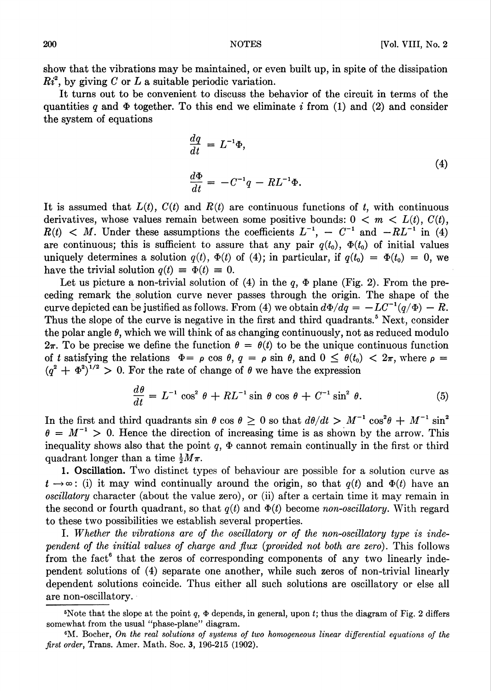show that the vibrations may be maintained, or even built up, in spite of the dissipation  $Ri^2$ , by giving C or L a suitable periodic variation.

It turns out to be convenient to discuss the behavior of the circuit in terms of the quantities q and  $\Phi$  together. To this end we eliminate i from (1) and (2) and consider the system of equations

$$
\begin{aligned}\n\frac{dq}{dt} &= L^{-1}\Phi, \\
\frac{d\Phi}{dt} &= -C^{-1}q - RL^{-1}\Phi.\n\end{aligned}
$$
\n(4)

It is assumed that  $L(t)$ ,  $C(t)$  and  $R(t)$  are continuous functions of t, with continuous derivatives, whose values remain between some positive bounds:  $0 \lt m \lt L(t)$ ,  $C(t)$ ,  $R(t)$  < M. Under these assumptions the coefficients  $L^{-1}$ ,  $C^{-1}$  and  $-RL^{-1}$  in (4) are continuous; this is sufficient to assure that any pair  $q(t_0)$ ,  $\Phi(t_0)$  of initial values uniquely determines a solution  $q(t)$ ,  $\Phi(t)$  of (4); in particular, if  $q(t_0) = \Phi(t_0) = 0$ , we have the trivial solution  $q(t) \equiv \Phi(t) \equiv 0$ .

Let us picture a non-trivial solution of (4) in the  $q$ ,  $\Phi$  plane (Fig. 2). From the preceding remark the solution curve never passes through the origin. The shape of the curve depicted can be justified as follows. From (4) we obtain  $d\Phi/dq = -LC^{-1}(q/\Phi) - R$ . Thus the slope of the curve is negative in the first and third quadrants.<sup>5</sup> Next, consider the polar angle  $\theta$ , which we will think of as changing continuously, not as reduced modulo  $2\pi$ . To be precise we define the function  $\theta = \theta(t)$  to be the unique continuous function of t satisfying the relations  $\Phi = \rho \cos \theta$ ,  $q = \rho \sin \theta$ , and  $0 \le \theta(t_0) < 2\pi$ , where  $\rho =$  $(q^2 + \Phi^2)^{1/2} > 0$ . For the rate of change of  $\theta$  we have the expression

$$
\frac{d\theta}{dt} = L^{-1} \cos^2 \theta + RL^{-1} \sin \theta \cos \theta + C^{-1} \sin^2 \theta.
$$
 (5)

In the first and third quadrants sin  $\theta$  cos  $\theta \geq 0$  so that  $d\theta/dt > M^{-1} \cos^2 \theta + M^{-1} \sin^2 \theta$  $\theta = M^{-1} > 0$ . Hence the direction of increasing time is as shown by the arrow. This inequality shows also that the point  $q$ ,  $\Phi$  cannot remain continually in the first or third quadrant longer than a time  $\frac{1}{2}M\pi$ .

1. Oscillation. Two distinct types of behaviour are possible for a solution curve as  $t \to \infty$ : (i) it may wind continually around the origin, so that  $q(t)$  and  $\Phi(t)$  have an oscillatory character (about the value zero), or (ii) after a certain time it may remain in the second or fourth quadrant, so that  $q(t)$  and  $\Phi(t)$  become non-oscillatory. With regard to these two possibilities we establish several properties.

I. Whether the vibrations are of the oscillatory or of the non-oscillatory type is independent of the initial values of charge and flux (provided not both are zero). This follows from the fact<sup>6</sup> that the zeros of corresponding components of any two linearly independent solutions of (4) separate one another, while such zeros of non-trivial linearly dependent solutions coincide. Thus either all such solutions are oscillatory or else all are non-oscillatory.

<sup>&</sup>lt;sup>5</sup>Note that the slope at the point q,  $\Phi$  depends, in general, upon t; thus the diagram of Fig. 2 differs somewhat from the usual "phase-plane" diagram.

<sup>&</sup>lt;sup>6</sup>M. Bocher, On the real solutions of systems of two homogeneous linear differential equations of the first order, Trans. Amer. Math. Soc. 3, 196-215 (1902).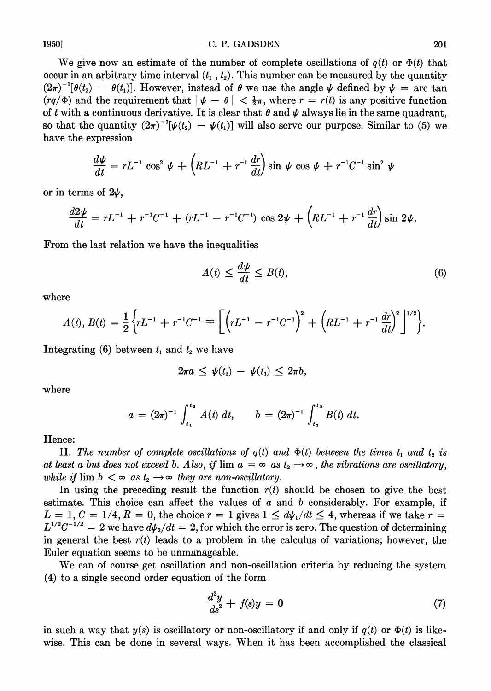## 1950] C. P. GADSDEN 201

We give now an estimate of the number of complete oscillations of  $q(t)$  or  $\Phi(t)$  that occur in an arbitrary time interval  $(t_1, t_2)$ . This number can be measured by the quantity  $(2\pi)^{-1}[\theta(t_2) - \theta(t_1)]$ . However, instead of  $\theta$  we use the angle  $\psi$  defined by  $\psi = \arctan \theta$  $(rq/\Phi)$  and the requirement that  $|\psi - \theta| < \frac{1}{2}\pi$ , where  $r = r(t)$  is any positive function of t with a continuous derivative. It is clear that  $\theta$  and  $\psi$  always lie in the same quadrant, so that the quantity  $(2\pi)^{-1}[\psi(t_2) - \psi(t_1)]$  will also serve our purpose. Similar to (5) we have the expression

$$
\frac{d\psi}{dt} = rL^{-1} \cos^2 \psi + \left(RL^{-1} + r^{-1} \frac{dr}{dt}\right) \sin \psi \cos \psi + r^{-1}C^{-1} \sin^2 \psi
$$

or in terms of  $2\psi$ ,

$$
\frac{d2\psi}{dt} = rL^{-1} + r^{-1}C^{-1} + (rL^{-1} - r^{-1}C^{-1})\cos 2\psi + \left(RL^{-1} + r^{-1}\frac{dr}{dt}\right)\sin 2\psi.
$$

From the last relation we have the inequalities

$$
A(t) \le \frac{d\psi}{dt} \le B(t),\tag{6}
$$

where

$$
A(t), B(t) = \frac{1}{2} \left\{ rL^{-1} + r^{-1}C^{-1} \mp \left[ \left( rL^{-1} - r^{-1}C^{-1} \right)^2 + \left( RL^{-1} + r^{-1} \frac{dr}{dt} \right)^2 \right]^{1/2} \right\}.
$$

Integrating (6) between  $t_1$  and  $t_2$  we have

$$
2\pi a \leq \psi(t_2) - \psi(t_1) \leq 2\pi b,
$$

where

$$
a = (2\pi)^{-1} \int_{t_1}^{t_2} A(t) dt, \qquad b = (2\pi)^{-1} \int_{t_1}^{t_2} B(t) dt.
$$

Hence:

II. The number of complete oscillations of  $q(t)$  and  $\Phi(t)$  between the times  $t_1$  and  $t_2$  is at least a but does not exceed b. Also, if  $\lim a = \infty$  as  $t_2 \to \infty$ , the vibrations are oscillatory, while if  $\lim b < \infty$  as  $t_2 \to \infty$  they are non-oscillatory.

In using the preceding result the function  $r(t)$  should be chosen to give the best estimate. This choice can affect the values of  $a$  and  $b$  considerably. For example, if  $L = 1, C = 1/4, R = 0$ , the choice  $r = 1$  gives  $1 \le d\psi_1/dt \le 4$ , whereas if we take  $r =$  $L^{1/2}C^{-1/2} = 2$  we have  $d\psi_2/dt = 2$ , for which the error is zero. The question of determining in general the best  $r(t)$  leads to a problem in the calculus of variations; however, the Euler equation seems to be unmanageable.

We can of course get oscillation and non-oscillation criteria by reducing the system (4) to a single second order equation of the form

$$
\frac{d^2y}{ds^2} + f(s)y = 0\tag{7}
$$

in such a way that  $y(s)$  is oscillatory or non-oscillatory if and only if  $q(t)$  or  $\Phi(t)$  is likewise. This can be done in several ways. When it has been accomplished the classical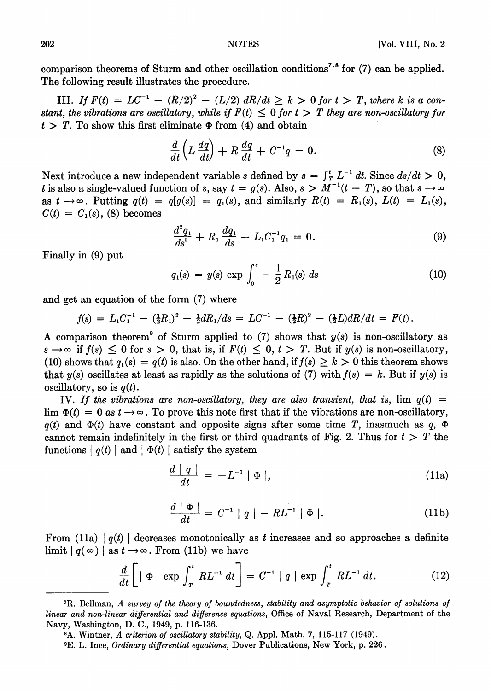comparison theorems of Sturm and other oscillation conditions<sup>7,8</sup> for (7) can be applied. The following result illustrates the procedure.

III. If  $F(t) = LC^{-1} - (R/2)^2 - (L/2) dR/dt \ge k > 0$  for  $t > T$ , where k is a constant, the vibrations are oscillatory, while if  $F(t) \leq 0$  for  $t > T$  they are non-oscillatory for  $t > T$ . To show this first eliminate  $\Phi$  from (4) and obtain

$$
\frac{d}{dt}\left(L\,\frac{dq}{dt}\right) + R\,\frac{dq}{dt} + C^{-1}q = 0.\tag{8}
$$

Next introduce a new independent variable s defined by  $s = \int_T^t L^{-1} dt$ . Since  $ds/dt > 0$ , t is also a single-valued function of s, say  $t = g(s)$ . Also,  $s > M^{-1} (t - T)$ , so that  $s \to \infty$ as  $t \to \infty$ . Putting  $q(t) = q[g(s)] = q_1(s)$ , and similarly  $R(t) = R_1(s)$ ,  $L(t) = L_1(s)$ ,  $C(t) = C_1(s)$ , (8) becomes

$$
\frac{d^2q_1}{ds^2} + R_1 \frac{dq_1}{ds} + L_1 C_1^{-1} q_1 = 0.
$$
 (9)

Finally in (9) put

$$
q_1(s) = y(s) \exp \int_0^s -\frac{1}{2} R_1(s) \ ds \tag{10}
$$

and get an equation of the form (7) where

$$
f(s) = L_1 C_1^{-1} - (\frac{1}{2}R_1)^2 - \frac{1}{2} dR_1/ds = LC^{-1} - (\frac{1}{2}R)^2 - (\frac{1}{2}L) dR/dt = F(t).
$$

A comparison theorem<sup>9</sup> of Sturm applied to (7) shows that  $y(s)$  is non-oscillatory as  $s \to \infty$  if  $f(s) \leq 0$  for  $s > 0$ , that is, if  $F(t) \leq 0$ ,  $t > T$ . But if  $y(s)$  is non-oscillatory, (10) shows that  $q_1(s) = q(t)$  is also. On the other hand, if  $f(s) \geq k > 0$  this theorem shows that  $y(s)$  oscillates at least as rapidly as the solutions of (7) with  $f(s) = k$ . But if  $y(s)$  is oscillatory, so is  $q(t)$ .

IV. If the vibrations are non-oscillatory, they are also transient, that is,  $\lim q(t)$  = lim  $\Phi(t) = 0$  as  $t \to \infty$ . To prove this note first that if the vibrations are non-oscillatory,  $q(t)$  and  $\Phi(t)$  have constant and opposite signs after some time T, inasmuch as q,  $\Phi$ cannot remain indefinitely in the first or third quadrants of Fig. 2. Thus for  $t > T$  the functions  $|q(t)|$  and  $|\Phi(t)|$  satisfy the system

$$
\frac{d \mid q \mid}{dt} = -L^{-1} \mid \Phi \mid,
$$
\n(11a)

$$
\frac{d \mid \Phi \mid}{dt} = C^{-1} \mid q \mid -RL^{-1} \mid \Phi \mid. \tag{11b}
$$

From (11a)  $|q(t)|$  decreases monotonically as t increases and so approaches a definite limit  $|q(\infty)|$  as  $t \to \infty$ . From (11b) we have

$$
\frac{d}{dt}\left[\left|\Phi\right|\exp\int_{T}^{t}RL^{-1}dt\right]=C^{-1}\left|\right|q\left|\exp\int_{T}^{t}RL^{-1}dt.\tag{12}
$$

8A. Wintner, A criterion of oscillatory stability, Q. Appl. Math. 7, 115-117 (1949).

<sup>&#</sup>x27;R. Bellman, A survey of the theory of boundedness, stability and asymptotic behavior of solutions of linear and non-linear differential and difference equations, Office of Naval Research, Department of the Navy, Washington, D. C., 1949, p. 116-136.

<sup>9</sup>E. L. Ince, Ordinary differential equations, Dover Publications, New York, p. 226.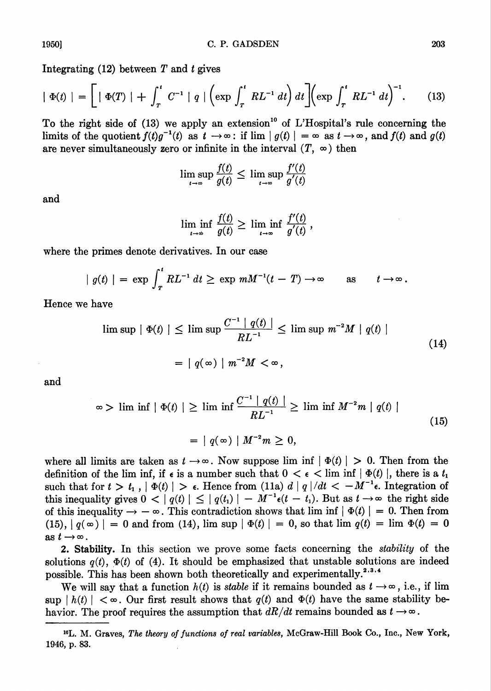Integrating  $(12)$  between T and t gives

$$
|\Phi(t)| = \left[|\Phi(T)| + \int_{T}^{t} C^{-1} |q| \left(\exp \int_{T}^{t} R L^{-1} dt\right) dt\right] \left(\exp \int_{T}^{t} R L^{-1} dt\right)^{-1}.
$$
 (13)

To the right side of  $(13)$  we apply an extension<sup>10</sup> of L'Hospital's rule concerning the limits of the quotient  $f(t)q^{-1}(t)$  as  $t \to \infty$ ; if  $\lim |g(t)| = \infty$  as  $t \to \infty$ , and  $f(t)$  and  $g(t)$ are never simultaneously zero or infinite in the interval  $(T, \infty)$  then

$$
\limsup_{t \to \infty} \frac{f(t)}{g(t)} \le \limsup_{t \to \infty} \frac{f'(t)}{g'(t)}
$$

and

$$
\liminf_{t\to\infty}\frac{f(t)}{g(t)}\geq \liminf_{t\to\infty}\frac{f'(t)}{g'(t)},
$$

where the primes denote derivatives. In our case

$$
| g(t) | = \exp \int_T^t R L^{-1} dt \ge \exp m M^{-1}(t - T) \to \infty \quad \text{as} \quad t \to \infty.
$$

Hence we have

$$
\begin{aligned} \limsup \, & \mid \Phi(t) \mid \leq \limsup \frac{C^{-1} \mid q(t)}{RL^{-1}} \leq \limsup \, m^{-2}M \mid q(t) \mid \\ &= \mid q(\infty) \mid m^{-2}M < \infty \,, \end{aligned} \tag{14}
$$

and

$$
\infty > \liminf \left| \Phi(t) \right| \ge \liminf \frac{C^{-1} | q(t) |}{R L^{-1}} \ge \liminf M^{-2} m | q(t) |
$$
  
=  $| q(\infty) | M^{-2} m \ge 0,$  (15)

where all limits are taken as  $t \to \infty$ . Now suppose lim inf  $|\Phi(t)| > 0$ . Then from the definition of the lim inf, if  $\epsilon$  is a number such that  $0 < \epsilon < \liminf |\Phi(t)|$ , there is a  $t_1$ such that for  $t > t_1$ ,  $|\Phi(t)| > \epsilon$ . Hence from (11a)  $d|q|/dt < -M^{-1}\epsilon$ . Integration of this inequality gives  $0 < |q(t)| \leq |q(t_1)| - M^{-1} \epsilon(t - t_1)$ . But as  $t \to \infty$  the right side of this inequality  $\rightarrow -\infty$ . This contradiction shows that lim inf  $|\Phi(t)| = 0$ . Then from  $(15), |q(\infty)| = 0$  and from (14), lim sup  $|\Phi(t)| = 0$ , so that lim  $q(t) = \lim_{h \to 0} \Phi(t) = 0$ as  $t \rightarrow \infty$ .

2. Stability. In this section we prove some facts concerning the stability of the solutions  $q(t)$ ,  $\Phi(t)$  of (4). It should be emphasized that unstable solutions are indeed possible. This has been shown both theoretically and experimentally.<sup>2,3,4</sup>

We will say that a function  $h(t)$  is *stable* if it remains bounded as  $t \rightarrow \infty$ , i.e., if lim sup  $|h(t)| < \infty$ . Our first result shows that  $q(t)$  and  $\Phi(t)$  have the same stability behavior. The proof requires the assumption that  $dR/dt$  remains bounded as  $t \to \infty$ .

<sup>10</sup>L. M. Graves, The theory of functions of real variables, McGraw-Hill Book Co., Inc., New York, 1946, p. 83.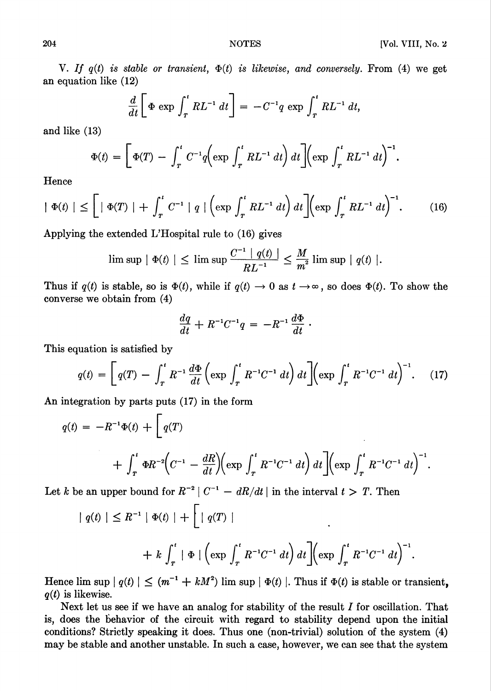V. If  $q(t)$  is stable or transient,  $\Phi(t)$  is likewise, and conversely. From (4) we get an equation like (12)

$$
\frac{d}{dt}\bigg[\Phi\,\exp\,\int_T^t RL^{-1}\,dt\bigg]=-C^{-1}q\,\exp\,\int_T^t RL^{-1}\,dt,
$$

and like (13)

$$
\Phi(t) = \left[ \Phi(T) - \int_T^t C^{-1} q \left( \exp \int_T^t R L^{-1} dt \right) dt \right] \left( \exp \int_T^t R L^{-1} dt \right)^{-1}.
$$

Hence

$$
|\Phi(t)| \leq \left[|\Phi(T)| + \int_{T}^{t} C^{-1} |q| \left(\exp \int_{T}^{t} R L^{-1} dt\right) dt\right] \left(\exp \int_{T}^{t} R L^{-1} dt\right)^{-1}.
$$
 (16)

Applying the extended L'Hospital rule to (16) gives

$$
\limsup \mid \Phi(t) \mid \leq \limsup \frac{C^{-1} \mid q(t) \mid}{RL^{-1}} \leq \frac{M}{m^2} \limsup \mid q(t) \mid.
$$

Thus if  $q(t)$  is stable, so is  $\Phi(t)$ , while if  $q(t) \to 0$  as  $t \to \infty$ , so does  $\Phi(t)$ . To show the converse we obtain from (4)

$$
\frac{dq}{dt} + R^{-1}C^{-1}q = -R^{-1}\frac{d\Phi}{dt}.
$$

This equation is satisfied by

$$
q(t) = \left[ q(T) - \int_{T}^{t} R^{-1} \frac{d\Phi}{dt} \left( \exp \int_{T}^{t} R^{-1} C^{-1} dt \right) dt \right] \left( \exp \int_{T}^{t} R^{-1} C^{-1} dt \right)^{-1}.
$$
 (17)

An integration by parts puts (17) in the form

$$
q(t) = -R^{-1}\Phi(t) + \left[q(T)\right] + \int_{T}^{t} \Phi R^{-2} \left(C^{-1} - \frac{dR}{dt}\right) \left(\exp \int_{T}^{t} R^{-1}C^{-1} dt\right) dt \left[\left(\exp \int_{T}^{t} R^{-1}C^{-1} dt\right)^{-1}\right].
$$

Let k be an upper bound for  $R^{-2} \mid C^{-1} - dR/dt \mid$  in the interval  $t > T$ . Then

$$
| q(t) | \leq R^{-1} | \Phi(t) | + \left[ | q(T) | \right]
$$
  
+  $k \int_{T}^{t} | \Phi | \left( \exp \int_{T}^{t} R^{-1} C^{-1} dt \right) dt \right] \left( \exp \int_{T}^{t} R^{-1} C^{-1} dt \right)^{-1}.$ 

Hence  $\limsup |q(t)| \leq (m^{-1} + kM^2) \limsup |\Phi(t)|$ . Thus if  $\Phi(t)$  is stable or transient,  $q(t)$  is likewise.

Next let us see if we have an analog for stability of the result  $I$  for oscillation. That is, does the behavior of the circuit with regard to stability depend upon the initial conditions? Strictly speaking it does. Thus one (non-trivial) solution of the system (4) may be stable and another unstable. In such a case, however, we can see that the system